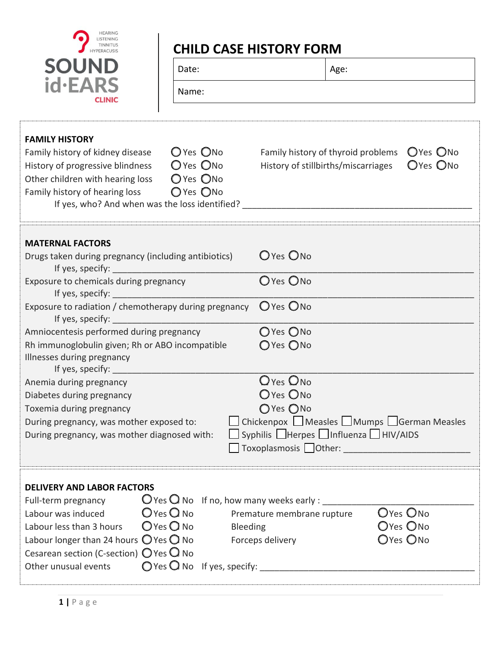| <b>HEARING</b><br>LISTENING |
|-----------------------------|
| <b>TINNITUS</b>             |
| <b>HYPERACUSIS</b>          |
|                             |
|                             |
| c<br>LINI<br>С              |

## **CHILD CASE HISTORY FORM**

| <b>SOUND</b>                     | Date:     | Age:                                                            |  |
|----------------------------------|-----------|-----------------------------------------------------------------|--|
| id·EARS<br><b>CLINIC</b>         | Name:     |                                                                 |  |
| <b>FAMILY HISTORY</b>            |           |                                                                 |  |
| Family history of kidney disease | O'Yes ONO | Family history of thyroid problems $\bigcirc$ Yes $\bigcirc$ No |  |

History of progressive blindness  $\bigcirc$  Yes  $\bigcirc$  No History of stillbirths/miscarriages  $\bigcirc$  Yes  $\bigcirc$  No Other children with hearing loss 
<sub>O</sub>Yes ONo Family history of hearing loss ○ Yes ○ No If yes, who? And when was the loss identified? \_\_\_\_\_\_\_\_\_\_\_\_\_\_\_\_\_\_\_\_\_\_\_\_\_\_\_\_\_\_\_\_\_



| <b>MATERNAL FACTORS</b><br>Drugs taken during pregnancy (including antibiotics)                                                                                                                                                                                                        | O Yes O No                                      |  |
|----------------------------------------------------------------------------------------------------------------------------------------------------------------------------------------------------------------------------------------------------------------------------------------|-------------------------------------------------|--|
| Exposure to chemicals during pregnancy                                                                                                                                                                                                                                                 | O Yes ONo                                       |  |
| Exposure to radiation / chemotherapy during pregnancy<br>If yes, specify: the contract of the contract of the contract of the contract of the contract of the contract of the contract of the contract of the contract of the contract of the contract of the contract of the contract | O Yes ONo                                       |  |
| Amniocentesis performed during pregnancy                                                                                                                                                                                                                                               | $O$ Yes $O$ No                                  |  |
| Rh immunoglobulin given; Rh or ABO incompatible                                                                                                                                                                                                                                        | OYes ONo                                        |  |
| Illnesses during pregnancy                                                                                                                                                                                                                                                             |                                                 |  |
|                                                                                                                                                                                                                                                                                        |                                                 |  |
| Anemia during pregnancy                                                                                                                                                                                                                                                                | $Q$ Yes $Q_{No}$                                |  |
| Diabetes during pregnancy                                                                                                                                                                                                                                                              | O Yes O No                                      |  |
| Toxemia during pregnancy                                                                                                                                                                                                                                                               | OYes ONo                                        |  |
| During pregnancy, was mother exposed to:                                                                                                                                                                                                                                               | □ Chickenpox ■ Measles ■ Mumps ■ German Measles |  |
| $\Box$ Syphilis $\Box$ Herpes $\Box$ Influenza $\Box$ HIV/AIDS<br>During pregnancy, was mother diagnosed with:                                                                                                                                                                         |                                                 |  |
|                                                                                                                                                                                                                                                                                        |                                                 |  |
|                                                                                                                                                                                                                                                                                        |                                                 |  |
| <b>DELIVERY AND LABOR FACTORS</b><br>$\mathbb{Q}$ Yes $\mathbb{Q}$ No If no, how many weeks early : ________<br>Full-term pregnancy                                                                                                                                                    |                                                 |  |
| $\bigcirc$ Yes $\bigcirc$ No Premature membrane rupture<br>Labour was induced                                                                                                                                                                                                          | Oyes Ono<br>$\bigcap_{i=1}^n A_i$               |  |

Labour less than 3 hours  $O$  Yes  $O$  No Bleeding  $O$  Yes  $O$  No Labour longer than 24 hours  $\bigcirc$  Yes  $\bigcirc$  No Forceps delivery  $\bigcirc$  Yes  $\bigcirc$  No Cesarean section (C-section)  $\bigcirc$  Yes  $\bigcirc$  No Other unusual events ☐ Yes ☐ No If yes, specify: \_\_\_\_\_\_\_\_\_\_\_\_\_\_\_\_\_\_\_\_\_\_\_\_\_\_\_\_\_\_\_\_\_\_\_\_\_\_\_\_\_\_\_\_